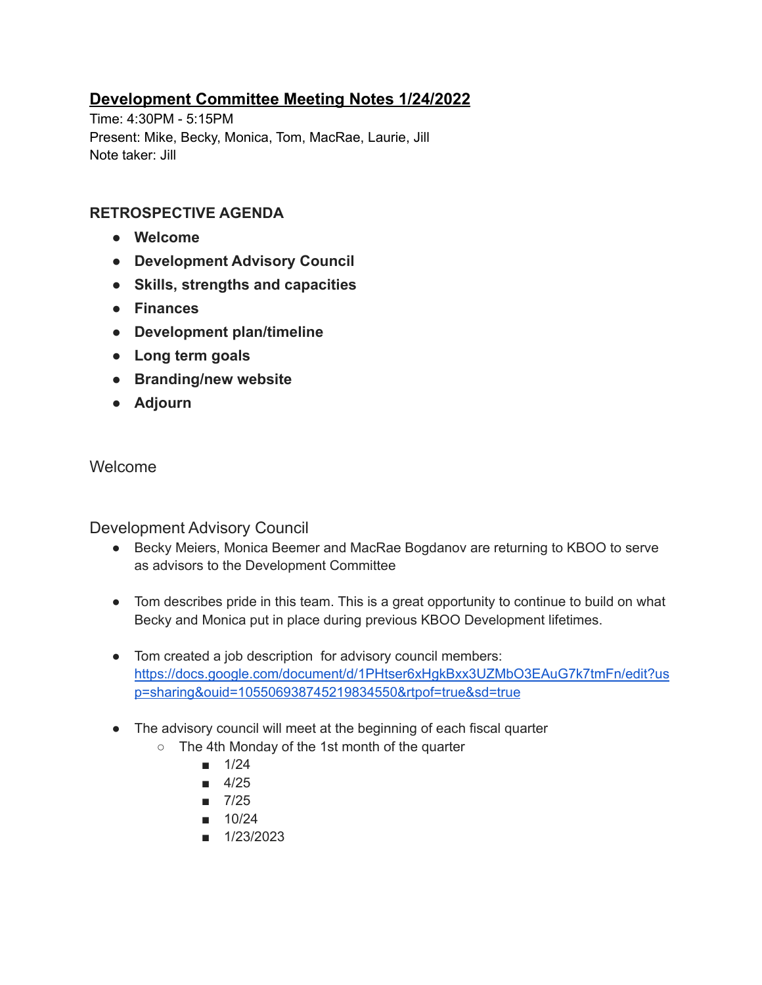# **Development Committee Meeting Notes 1/24/2022**

Time: 4:30PM - 5:15PM Present: Mike, Becky, Monica, Tom, MacRae, Laurie, Jill Note taker: Jill

## **RETROSPECTIVE AGENDA**

- **● Welcome**
- **● Development Advisory Council**
- **● Skills, strengths and capacities**
- **● Finances**
- **● Development plan/timeline**
- **● Long term goals**
- **● Branding/new website**
- **● Adjourn**

## Welcome

Development Advisory Council

- Becky Meiers, Monica Beemer and MacRae Bogdanov are returning to KBOO to serve as advisors to the Development Committee
- Tom describes pride in this team. This is a great opportunity to continue to build on what Becky and Monica put in place during previous KBOO Development lifetimes.
- Tom created a job description for advisory council members: https://docs.google.com/document/d/1PHtser6xHgkBxx3UZMbO3EAuG7k7tmFn/edit?us p=sharing&ouid=105506938745219834550&rtpof=true&sd=true
- The advisory council will meet at the beginning of each fiscal quarter
	- The 4th Monday of the 1st month of the quarter
		- 1/24
		- $-4/25$
		- 7/25
		- 10/24
		- 1/23/2023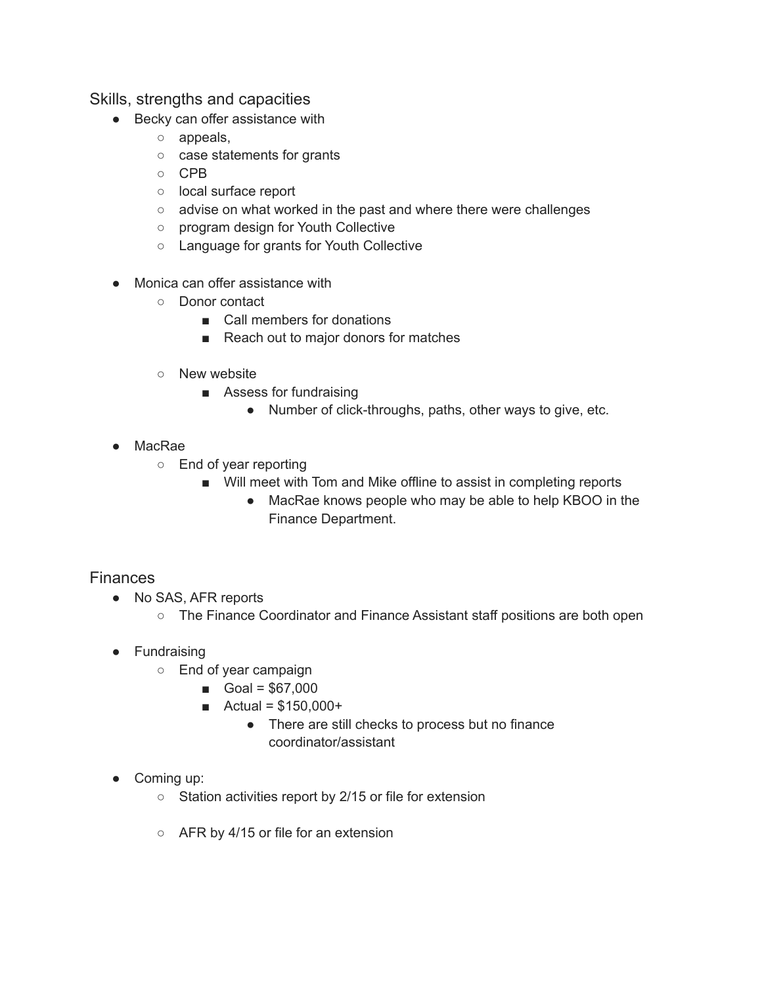#### Skills, strengths and capacities

- Becky can offer assistance with
	- appeals,
	- case statements for grants
	- CPB
	- local surface report
	- advise on what worked in the past and where there were challenges
	- program design for Youth Collective
	- Language for grants for Youth Collective
- Monica can offer assistance with
	- Donor contact
		- Call members for donations
		- Reach out to major donors for matches
	- New website
		- Assess for fundraising
			- Number of click-throughs, paths, other ways to give, etc.
- MacRae
	- End of year reporting
		- Will meet with Tom and Mike offline to assist in completing reports
			- MacRae knows people who may be able to help KBOO in the Finance Department.

#### **Finances**

- No SAS, AFR reports
	- The Finance Coordinator and Finance Assistant staff positions are both open
- Fundraising
	- End of year campaign
		- $Goal = $67,000$
		- $\blacksquare$  Actual = \$150,000+
			- There are still checks to process but no finance coordinator/assistant
- Coming up:
	- Station activities report by 2/15 or file for extension
	- AFR by 4/15 or file for an extension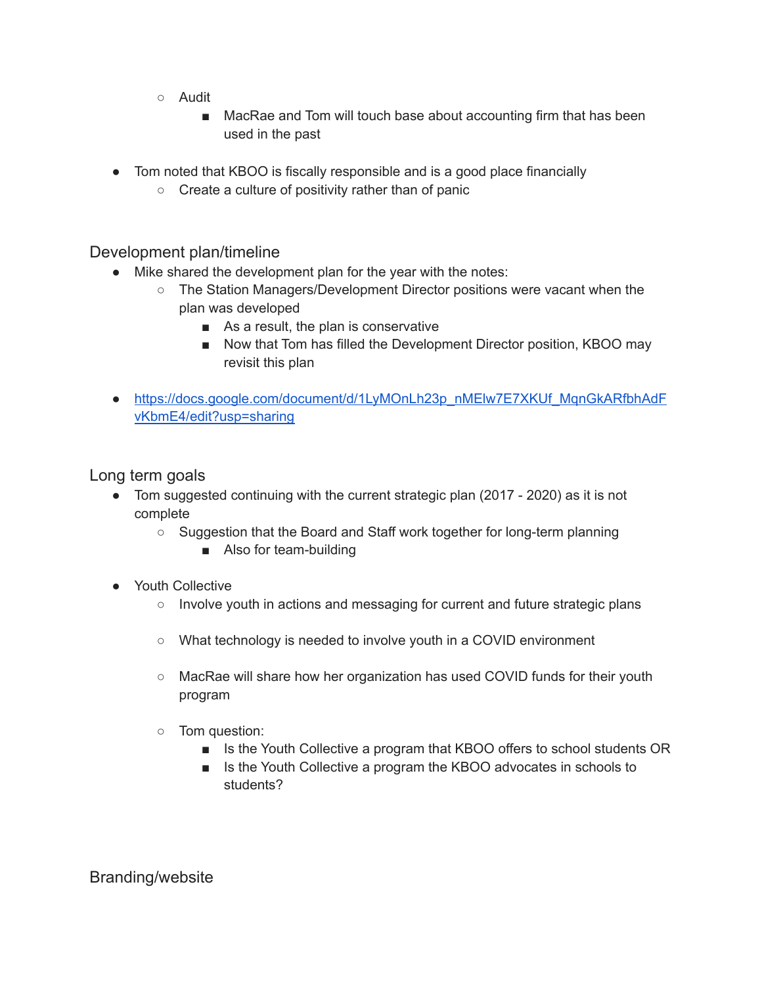- Audit
	- MacRae and Tom will touch base about accounting firm that has been used in the past
- Tom noted that KBOO is fiscally responsible and is a good place financially
	- Create a culture of positivity rather than of panic

Development plan/timeline

- Mike shared the development plan for the year with the notes:
	- The Station Managers/Development Director positions were vacant when the plan was developed
		- As a result, the plan is conservative
		- Now that Tom has filled the Development Director position, KBOO may revisit this plan
- https://docs.google.com/document/d/1LyMOnLh23p\_nMElw7E7XKUf\_MqnGkARfbhAdF vKbmE4/edit?usp=sharing

Long term goals

- Tom suggested continuing with the current strategic plan (2017 2020) as it is not complete
	- Suggestion that the Board and Staff work together for long-term planning
		- Also for team-building
- Youth Collective
	- Involve youth in actions and messaging for current and future strategic plans
	- What technology is needed to involve youth in a COVID environment
	- MacRae will share how her organization has used COVID funds for their youth program
	- Tom question:
		- Is the Youth Collective a program that KBOO offers to school students OR
		- Is the Youth Collective a program the KBOO advocates in schools to students?

Branding/website